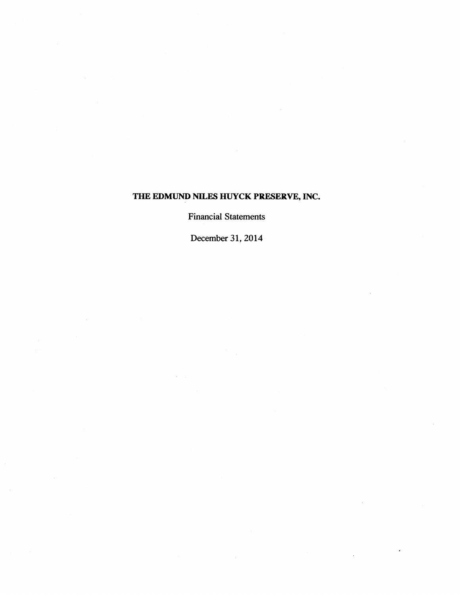**Financial Statements** 

**December 31,2014**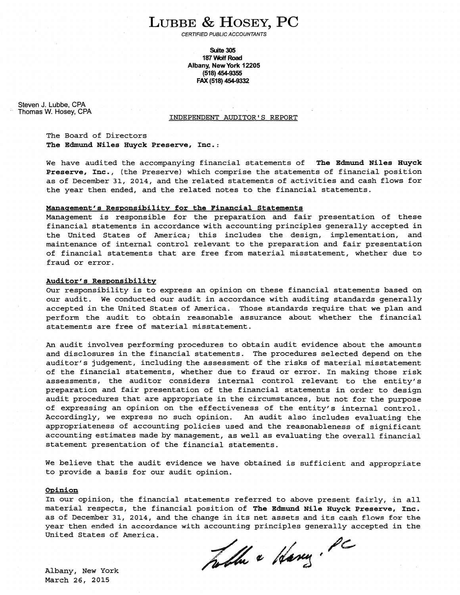# LUBBE & HOSEY, PC

CERTIFIED PUBLIC ACCOUNTANTS

**Suite 305 187** Wolf **Road Albany, New York 12205 (51 8) 454-9355 FAX (51 8) 454-9332** 

Steven J. Lubbe, **CPA**  Thomas W. Hosey, CPA

# INDEPENDENT AUDITOR'S REPORT

The Board of Directors **The Edmund Niles Huyck Preserve, Inc.:** 

We have audited the accompanying financial statements of **The Edmund Niles Huyck Preserve, Inc.,** (the Preserve) which comprise the statements of financial position as of December 31, 2014, and the related statements of activities and cash flows for the year then ended, and the related notes to the financial statements.

#### **Manasement's Responsibilitv for the Financial Statements**

Management is responsible for the preparation and fair presentation of these financial statements in accordance with accounting principles generally accepted in the United States of America; this includes the design, implementation, and maintenance of internal control relevant to the preparation and fair presentation of financial statements that are free from material misstatement, whether due to fraud or error.

### **Auditor's Responsibility**

Our responsibility is to express an opinion on these financial statements based on our audit. We conducted our audit in accordance with auditing standards generally accepted in the United States of America. Those standards require that we plan and perform the audit to obtain reasonable assurance about whether the financial statements are free of material misstatement.

**An** audit involves performing procedures to obtain audit evidence about the amounts and disclosures in the financial statements. The procedures selected depend on the auditor's judgement, including the assessment of the risks of material misstatement of the financial statements, whether due to fraud or error. In making those risk assessments, the auditor considers internal control relevant to the entity's preparation and fair presentation of the financial statements in order to design audit procedures that are appropriate in the circumstances, but not for the purpose of expressing an opinion on the effectiveness of the entity's internal control. Accordingly, we express no such opinion. **An** audit also includes evaluating the appropriateness of accounting policies used and the reasonableness of significant accounting estimates made by management, as well as evaluating the overall financial statement presentation of the financial statements.

We believe that the audit evidence we have obtained is sufficient and appropriate to provide a basis for our audit opinion.

#### **Opinion**

In our opinion, the financial statements referred to above present fairly, in all material respects, the financial position of **The Edmund Nile Huyck Preserve, Inc.**  as of December 31, 2014, and the change in its net assets and its cash flows for the year then ended in accordance with accounting principles generally accepted in the United States of America.

Table a Hany. PC

Albany, New York March 26, 2015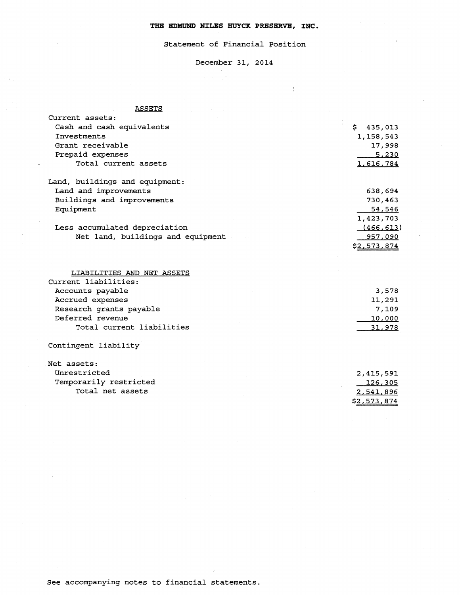# Statement of Financial Position

# December 31, 2014

 $\pm$ 

 $\mathbb{R}^3$ 

# ASSETS

| Current assets:                   |                  |
|-----------------------------------|------------------|
| Cash and cash equivalents         | \$435,013        |
| Investments                       | 1,158,543        |
| Grant receivable                  | 17,998           |
| Prepaid expenses                  | 5,230            |
| Total current assets              | <u>1,616,784</u> |
| Land, buildings and equipment:    |                  |
| Land and improvements             | 638,694          |
| Buildings and improvements        | 730,463          |
| Equipment                         | 54,546           |
|                                   | 1,423,703        |
| Less accumulated depreciation     | (466, 613)       |
| Net land, buildings and equipment | 957,090          |
|                                   | \$2,573,874      |
| LIABILITIES AND NET ASSETS        |                  |
| Current liabilities:              |                  |
| Accounts payable                  | 3,578            |
| Accrued expenses                  | 11,291           |
| Research grants payable           | 7,109            |
| Deferred revenue                  | 10,000           |
| Total current liabilities         | 31,978           |
| Contingent liability              |                  |
| Net assets:                       |                  |
| Unrestricted                      | 2,415,591        |
| Temporarily restricted            | <u>126,305</u>   |
| Total net assets                  | 2,541,896        |
|                                   |                  |
|                                   | \$2,573,874      |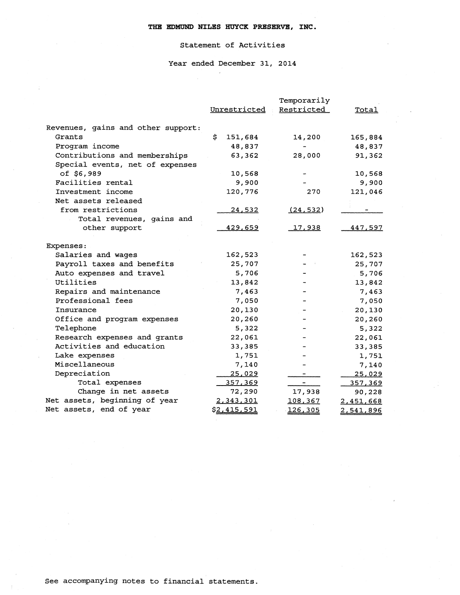# Statement of Activities

Year ended December 31, **2014** 

|                                    |    |               | Temporarily    |               |
|------------------------------------|----|---------------|----------------|---------------|
|                                    |    | Unrestricted  | Restricted     | Total         |
|                                    |    |               |                |               |
| Revenues, gains and other support: |    |               |                |               |
| Grants                             | S. | 151,684       | 14,200         | 165,884       |
| Program income                     |    | 48,837        |                | 48,837        |
| Contributions and memberships      |    | 63,362        | 28,000         | 91,362        |
| Special events, net of expenses    |    |               |                |               |
| of \$6,989                         |    | 10,568        |                | 10,568        |
| Facilities rental                  |    | 9,900         |                | 9,900         |
| Investment income                  |    | 120,776       | 270            | 121,046       |
| Net assets released                |    |               |                |               |
| from restrictions                  |    | 24,532        | (24, 532)      |               |
| Total revenues, gains and          |    |               |                |               |
| other support                      |    | 429,659       | <u>17,938</u>  | 447,597       |
|                                    |    |               |                |               |
| Expenses:                          |    |               |                |               |
| Salaries and wages                 |    | 162,523       |                | 162,523       |
| Payroll taxes and benefits         |    | 25,707        |                | 25,707        |
| Auto expenses and travel           |    | 5,706         |                | 5,706         |
| Utilities                          |    | 13,842        |                | 13,842        |
| Repairs and maintenance            |    | 7,463         |                | 7,463         |
| Professional fees                  |    | 7,050         |                | 7,050         |
| Insurance                          |    | 20,130        |                | 20,130        |
| Office and program expenses        |    | 20,260        |                | 20,260        |
| Telephone                          |    | 5,322         |                | 5,322         |
| Research expenses and grants       |    | 22,061        |                | 22,061        |
| Activities and education           |    | 33,385        |                | 33,385        |
| Lake expenses                      |    | 1,751         |                | 1,751         |
| Miscellaneous                      |    | 7,140         |                | 7,140         |
| Depreciation                       |    | <u>25,029</u> |                | <u>25,029</u> |
| Total expenses                     |    | 357,369       | $\blacksquare$ | 357,369       |
| Change in net assets               |    | 72,290        | 17,938         | 90,228        |
| Net assets, beginning of year      |    | 2,343,301     | 108,367        | 2,451,668     |
| Net assets, end of year            |    | \$2,415,591   | 126,305        | 2,541,896     |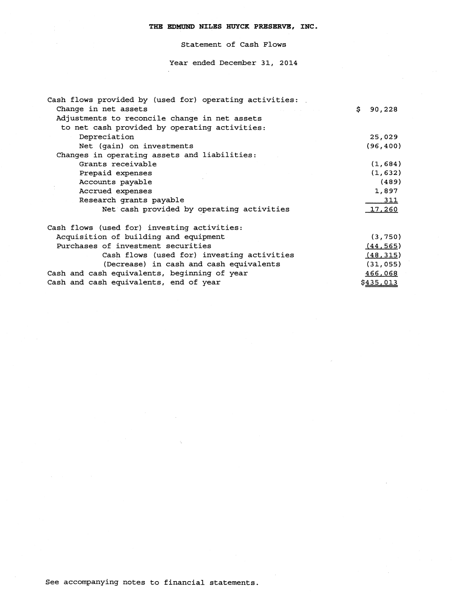Statement of Cash Flows

Year ended December **31, 2014** 

| Cash flows provided by (used for) operating activities: |              |
|---------------------------------------------------------|--------------|
| Change in net assets                                    | \$<br>90,228 |
| Adjustments to reconcile change in net assets           |              |
| to net cash provided by operating activities:           |              |
| Depreciation                                            | 25,029       |
| Net (gain) on investments                               | (96, 400)    |
| Changes in operating assets and liabilities:            |              |
| Grants receivable                                       | (1,684)      |
| Prepaid expenses                                        | (1, 632)     |
| Accounts payable                                        | (489)        |
| Accrued expenses                                        | 1,897        |
| Research grants payable                                 | <u>311</u>   |
| Net cash provided by operating activities               | 17,260       |
| Cash flows (used for) investing activities:             |              |
| Acquisition of building and equipment                   | (3, 750)     |
| Purchases of investment securities                      | (44, 565)    |
| Cash flows (used for) investing activities              | (48, 315)    |
| (Decrease) in cash and cash equivalents                 | (31, 055)    |
| Cash and cash equivalents, beginning of year            | 466,068      |
| Cash and cash equivalents, end of year                  | \$435,013    |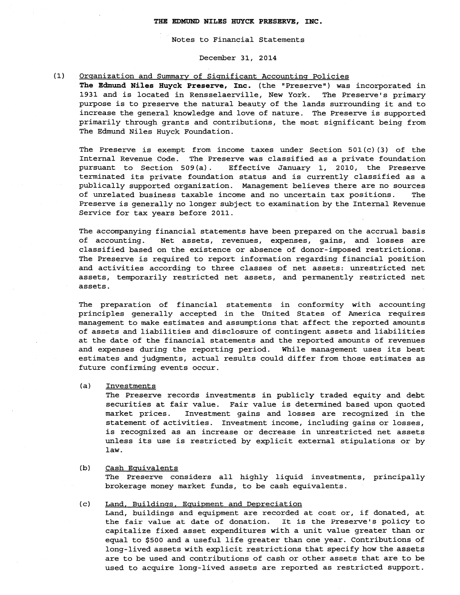Notes to Financial Statements

# December 31, 2014

#### $(1)$ Organization and Summary of Significant Accounting Policies

The Edmund Niles Huyck Preserve, Inc. (the "Preserve") was incorporated in 1931 and is located in Rensselaerville, New York. The Preserve's primary purpose is to preserve the natural beauty of the lands surrounding it and to increase the general knowledge and love of nature. The Preserve is supported primarily through grants and contributions, the most significant being from The Edmund Niles Huyck Foundation.

The Preserve is exempt from income taxes under Section  $501(c)(3)$  of the Internal Revenue Code. The Preserve was classified as a private foundation pursuant to Section 509 (a) . Effective January 1, 2010, the Preserve terminated its private foundation status and is currently classified as a publically supported organization. Management believes there are no sources of unrelated business taxable income and no uncertain tax positions. The Preserve is generally no longer subject to examination by the Internal Revenue Service for tax years before 2011.

The accompanying financial statements have been prepared on the accrual basis of accounting. Net assets, revenues, expenses, gains, and losses are classified based on the existence or absence of donor-imposed restrictions. The Preserve is required to report information regarding financial position and activities according to three classes of net assets: unrestricted net assets, temporarily restricted net assets, and permanently restricted net assets.

The preparation of financial statements in conformity with accounting principles generally accepted in the United States of America requires management to make estimates and assumptions that affect the reported amounts of assets and liabilities and disclosure of contingent assets and liabilities at the date of the financial statements and the reported amounts of revenues and expenses during the reporting period. While management uses its best estimates and judgments, actual results could differ from those estimates as future confirming events occur.

(a) Investments

The Preserve records investments in publicly traded equity and debt securities at fair value. Fair value is determined based upon quoted market prices. Investment gains and losses are recognized in the statement of activities. Investment income, including gains or losses, is recognized as an increase or decrease in unrestricted net assets unless its use is restricted by explicit external stipulations or by law.

(b) Cash Eauivalents The Preserve considers all highly liquid investments, principally brokerage money market funds, to be cash equivalents.

# (c) Land, Buildinss, Eauipment and Depreciation

Land, buildings and equipment are recorded at cost or, if donated, at the fair value at date of donation. It is the Preserve's policy to capitalize fixed asset expenditures with a unit value greater than or equal to \$500 and a useful life greater than one year. Contributions of long-lived assets with explicit restrictions that specify how the assets are to be used and contributions of cash or other assets that are to be used to acquire long-lived assets are reported as restricted support.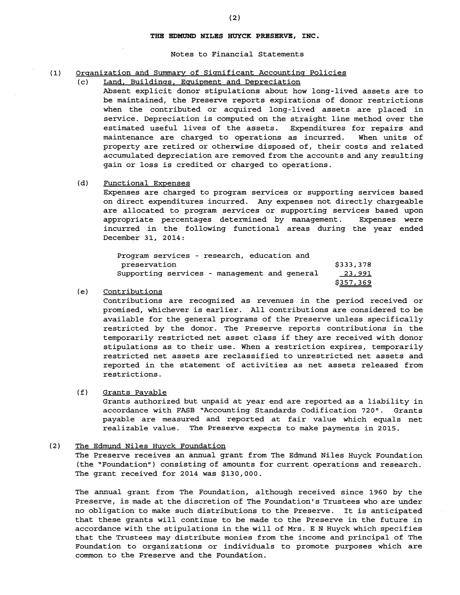# Notes to Financial Statements

# (1) Organization and Summary of Significant Accounting Policies

### (c) Land, Buildinqs, Emipment and Depreciation

Absent explicit donor stipulations about how long-lived assets are to be maintained, the Preserve reports expirations of donor restrictions when the contributed or acquired long-lived assets are placed in service. Depreciation is computed on the straight line method over the estimated useful lives of the assets. Expenditures for repairs and maintenance are charged to operations as incurred. When units of property are retired or otherwise disposed of, their costs and related accumulated depreciation are removed from the accounts and any resulting gain or loss is credited or charged to operations.

# (d) Functional Expenses

Expenses are charged to program services or supporting services based on direct expenditures incurred. Any expenses not directly chargeable are allocated to program services or supporting services based upon appropriate percentages determined by management. Expenses were incurred in the following functional areas during the year ended December 31, 2014:

| Program services - research, education and   |           |
|----------------------------------------------|-----------|
| preservation                                 | \$333,378 |
| Supporting services - management and general | 23,991    |
|                                              | \$357,369 |

# (e) Contributions

Contributions are recognized as revenues in the period received or promised, whichever is earlier. All contributions are considered to be available for the general programs of the Preserve unless specifically restricted by the donor. The Preserve reports contributions in the temporarily restricted net asset class if they are received with donor stipulations as to their use. When a restriction expires, temporarily restricted net assets are reclassified to unrestricted net assets and reported in the statement of activities as net assets released from restrictions.

### (f) Grants Payable

Grants authorized but unpaid at year end are reported as a liability in accordance with FASB "Accounting Standards Codification 720". Grants payable are measured and reported at fair value which equals net realizable value. The Preserve expects to make payments in 2015.

# **(2)** The Edmund Niles Huvck Foundation The Preserve receives an annual grant from The Edmund Niles Huyck Foundation (the "Foundation") consisting of amounts for current operations and research.

The grant received for 2014 was \$130,000.

The annual grant from The Foundation, although received since 1960 by the Preserve, is made at the discretion of The Foundation's Trustees who are under no obligation to make such distributions to the Preserve. It is anticipated that these grants will continue to be made to the Preserve in the future in accordance with the stipulations in the will of Mrs. E N Huyck which specifies that the Trustees may distribute monies from the income and principal of The Foundation to organizations or individuals to promote purposes which are common to the Preserve and the Foundation.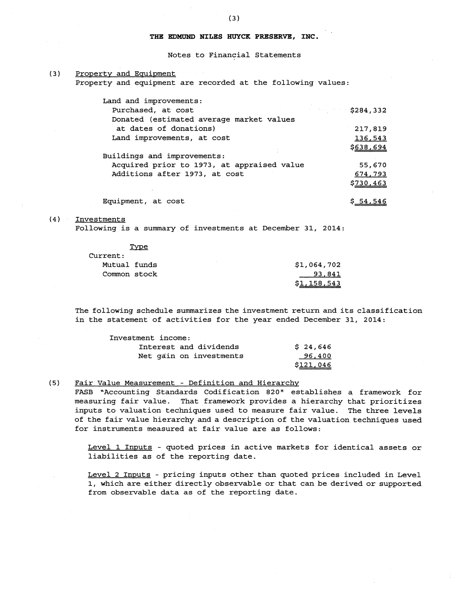Notes to Financial Statements

(3) Propertv and Eauipment

Property and equipment are recorded at the following values:

| Land and improvements:                     |                  |
|--------------------------------------------|------------------|
| Purchased, at cost                         | \$284,332        |
| Donated (estimated average market values   |                  |
| at dates of donations)                     | 217,819          |
| Land improvements, at cost                 | 136,543          |
|                                            | <u>\$638,694</u> |
| Buildings and improvements:                |                  |
| Acquired prior to 1973, at appraised value | 55,670           |
| Additions after 1973, at cost              | 674,793          |
|                                            | \$730,463        |
|                                            |                  |
| Equipment, at cost                         |                  |

# (4) Investments

Following is a summary of investments at December 31, 2014:

| Type         |             |
|--------------|-------------|
| Current:     |             |
| Mutual funds | \$1,064,702 |
| Common stock | 93,841      |
|              | \$1,158,543 |

The following schedule summarizes the investment return and its classification in the statement of activities for the year ended December 31, 2014:

| Investment income:      |           |
|-------------------------|-----------|
| Interest and dividends  | \$24,646  |
| Net gain on investments | 96,400    |
|                         | \$121,046 |

(5) Fair Value Measurement - Definition and Hierarchv

FASB "Accounting Standards Codification 820" establishes a framework for measuring fair value. That framework provides a hierarchy that prioritizes inputs to valuation techniques used to measure fair value. The three levels of the fair value hierarchy and a description of the valuation techniques used for instruments measured at fair value are as follows:

Level 1 Inputs - quoted prices in active markets for identical assets or liabilities as of the reporting date.

Level 2 Inputs - pricing inputs other than quoted prices included in Level 1, which are either directly observable or that can be derived or supported from observable data as of the reporting date.